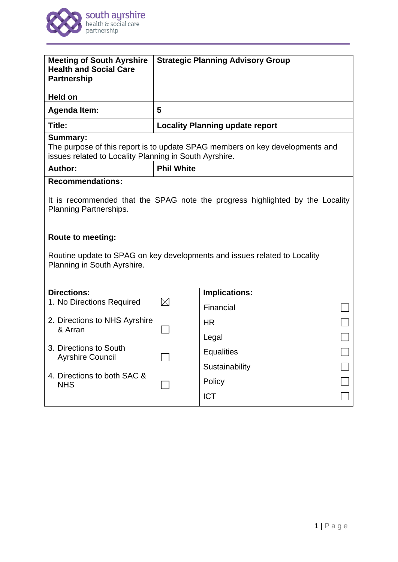

| <b>Meeting of South Ayrshire</b><br><b>Health and Social Care</b><br><b>Partnership</b>                                                |                   | <b>Strategic Planning Advisory Group</b> |  |
|----------------------------------------------------------------------------------------------------------------------------------------|-------------------|------------------------------------------|--|
| <b>Held on</b><br><b>Agenda Item:</b>                                                                                                  | 5                 |                                          |  |
| Title:                                                                                                                                 |                   | <b>Locality Planning update report</b>   |  |
| <b>Summary:</b>                                                                                                                        |                   |                                          |  |
| The purpose of this report is to update SPAG members on key developments and<br>issues related to Locality Planning in South Ayrshire. |                   |                                          |  |
| Author:                                                                                                                                | <b>Phil White</b> |                                          |  |
| <b>Recommendations:</b>                                                                                                                |                   |                                          |  |
| It is recommended that the SPAG note the progress highlighted by the Locality<br><b>Planning Partnerships.</b>                         |                   |                                          |  |
| Route to meeting:                                                                                                                      |                   |                                          |  |
| Routine update to SPAG on key developments and issues related to Locality<br>Planning in South Ayrshire.                               |                   |                                          |  |
| <b>Directions:</b>                                                                                                                     |                   | <b>Implications:</b>                     |  |
| 1. No Directions Required                                                                                                              |                   | Financial                                |  |
| 2. Directions to NHS Ayrshire<br>& Arran                                                                                               |                   | <b>HR</b>                                |  |
|                                                                                                                                        |                   | Legal                                    |  |
| 3. Directions to South<br><b>Ayrshire Council</b>                                                                                      |                   | <b>Equalities</b>                        |  |
|                                                                                                                                        |                   | Sustainability                           |  |
| 4. Directions to both SAC &<br><b>NHS</b>                                                                                              |                   | Policy                                   |  |
|                                                                                                                                        |                   | <b>ICT</b>                               |  |
|                                                                                                                                        |                   |                                          |  |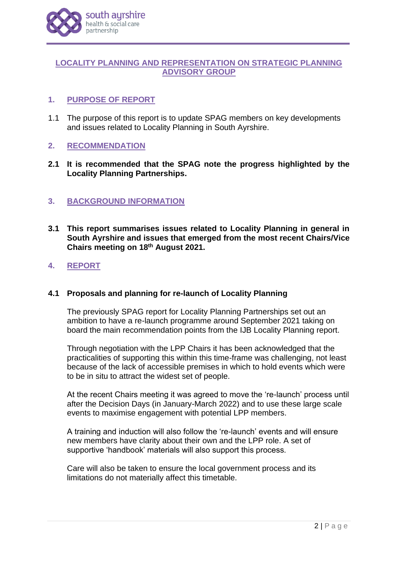

## **LOCALITY PLANNING AND REPRESENTATION ON STRATEGIC PLANNING ADVISORY GROUP**

## **1. PURPOSE OF REPORT**

1.1 The purpose of this report is to update SPAG members on key developments and issues related to Locality Planning in South Ayrshire.

## **2. RECOMMENDATION**

**2.1 It is recommended that the SPAG note the progress highlighted by the Locality Planning Partnerships.**

## **3. BACKGROUND INFORMATION**

- **3.1 This report summarises issues related to Locality Planning in general in South Ayrshire and issues that emerged from the most recent Chairs/Vice Chairs meeting on 18th August 2021.**
- **4. REPORT**

## **4.1 Proposals and planning for re-launch of Locality Planning**

The previously SPAG report for Locality Planning Partnerships set out an ambition to have a re-launch programme around September 2021 taking on board the main recommendation points from the IJB Locality Planning report.

Through negotiation with the LPP Chairs it has been acknowledged that the practicalities of supporting this within this time-frame was challenging, not least because of the lack of accessible premises in which to hold events which were to be in situ to attract the widest set of people.

At the recent Chairs meeting it was agreed to move the 're-launch' process until after the Decision Days (in January-March 2022) and to use these large scale events to maximise engagement with potential LPP members.

A training and induction will also follow the 're-launch' events and will ensure new members have clarity about their own and the LPP role. A set of supportive 'handbook' materials will also support this process.

Care will also be taken to ensure the local government process and its limitations do not materially affect this timetable.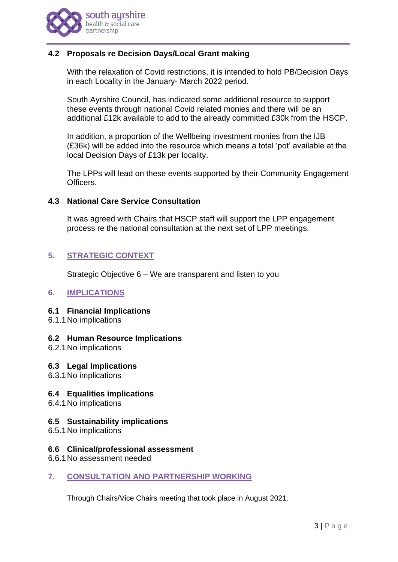

# **4.2 Proposals re Decision Days/Local Grant making**

With the relaxation of Covid restrictions, it is intended to hold PB/Decision Days in each Locality in the January- March 2022 period.

South Ayrshire Council, has indicated some additional resource to support these events through national Covid related monies and there will be an additional £12k available to add to the already committed £30k from the HSCP.

In addition, a proportion of the Wellbeing investment monies from the IJB (£36k) will be added into the resource which means a total 'pot' available at the local Decision Days of £13k per locality.

The LPPs will lead on these events supported by their Community Engagement Officers.

## **4.3 National Care Service Consultation**

It was agreed with Chairs that HSCP staff will support the LPP engagement process re the national consultation at the next set of LPP meetings.

# **5. STRATEGIC CONTEXT**

Strategic Objective 6 – We are transparent and listen to you

## **6. IMPLICATIONS**

#### **6.1 Financial Implications**

6.1.1No implications

#### **6.2 Human Resource Implications**

6.2.1No implications

#### **6.3 Legal Implications**

6.3.1No implications

#### **6.4 Equalities implications**

6.4.1No implications

#### **6.5 Sustainability implications**

6.5.1No implications

#### **6.6 Clinical/professional assessment**

- 6.6.1No assessment needed
- **7. CONSULTATION AND PARTNERSHIP WORKING**

Through Chairs/Vice Chairs meeting that took place in August 2021.